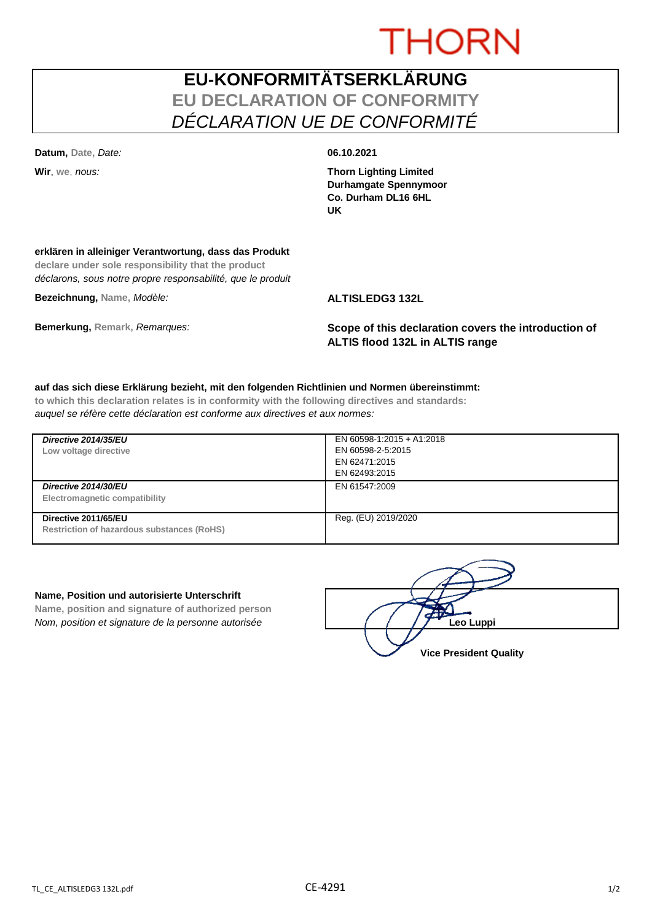# **THORN**

# **EU-KONFORMITÄTSERKLÄRUNG EU DECLARATION OF CONFORMITY** *DÉCLARATION UE DE CONFORMITÉ*

**Datum, Date,** *Date:* **06.10.2021**

**Wir**, **we**, *nous:* **Thorn Lighting Limited Durhamgate Spennymoor Co. Durham DL16 6HL UK**

## **erklären in alleiniger Verantwortung, dass das Produkt**

**declare under sole responsibility that the product** *déclarons, sous notre propre responsabilité, que le produit*

**Bezeichnung, Name,** *Modèle:* **ALTISLEDG3 132L**

**Bemerkung, Remark,** *Remarques:* **Scope of this declaration covers the introduction of ALTIS flood 132L in ALTIS range**

#### **auf das sich diese Erklärung bezieht, mit den folgenden Richtlinien und Normen übereinstimmt:**

**to which this declaration relates is in conformity with the following directives and standards:** *auquel se réfère cette déclaration est conforme aux directives et aux normes:*

| Directive 2014/35/EU<br>Low voltage directive                             | EN 60598-1:2015 + A1:2018<br>EN 60598-2-5:2015<br>EN 62471:2015<br>EN 62493:2015 |
|---------------------------------------------------------------------------|----------------------------------------------------------------------------------|
| Directive 2014/30/EU<br>Electromagnetic compatibility                     | EN 61547:2009                                                                    |
| Directive 2011/65/EU<br><b>Restriction of hazardous substances (RoHS)</b> | Reg. (EU) 2019/2020                                                              |

#### **Name, Position und autorisierte Unterschrift**

**Name, position and signature of authorized person** *Nom, position et signature de la personne autorisée*  $\left( \begin{array}{cc} \end{array} \right)$   $\left( \begin{array}{cc} \end{array} \right)$  **Leo Luppi** 

**Vice President Quality**